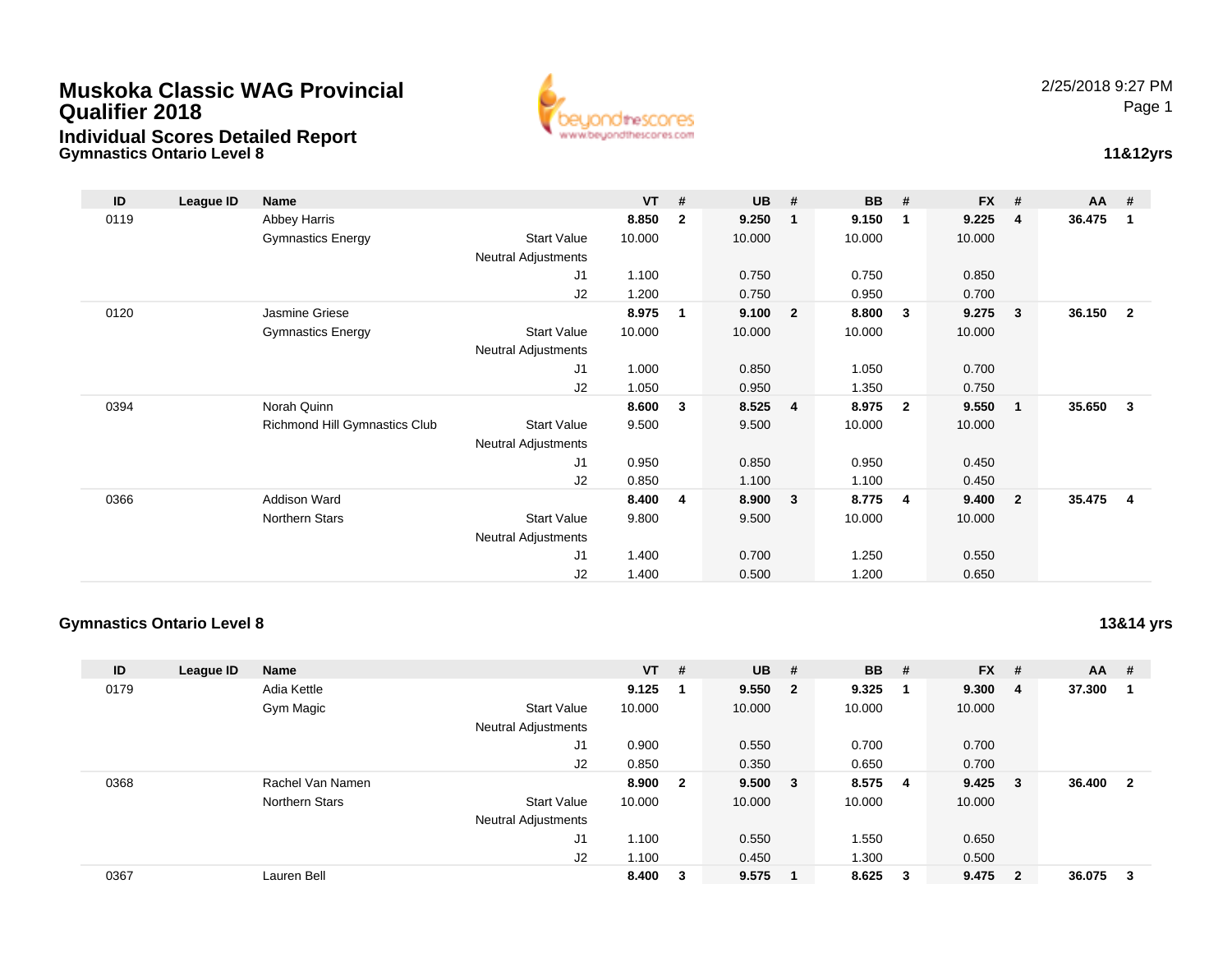## **Muskoka Classic WAG ProvincialQualifier 2018Individual Scores Detailed Report**

**Gymnastics Ontario Level 8**



## **11&12yrs**

| ID   | League ID | <b>Name</b>                   |                            | $VT$ # |                | <b>UB</b> | #                       | BB     | #                       | <b>FX</b> | #                       | $AA$ # |                |
|------|-----------|-------------------------------|----------------------------|--------|----------------|-----------|-------------------------|--------|-------------------------|-----------|-------------------------|--------|----------------|
| 0119 |           | Abbey Harris                  |                            | 8.850  | $\mathbf{2}$   | 9.250     | $\mathbf 1$             | 9.150  | -1                      | 9.225     | $\overline{4}$          | 36.475 | 1              |
|      |           | <b>Gymnastics Energy</b>      | <b>Start Value</b>         | 10.000 |                | 10.000    |                         | 10.000 |                         | 10.000    |                         |        |                |
|      |           |                               | <b>Neutral Adjustments</b> |        |                |           |                         |        |                         |           |                         |        |                |
|      |           |                               | J1                         | 1.100  |                | 0.750     |                         | 0.750  |                         | 0.850     |                         |        |                |
|      |           |                               | J2                         | 1.200  |                | 0.750     |                         | 0.950  |                         | 0.700     |                         |        |                |
| 0120 |           | Jasmine Griese                |                            | 8.975  | 1              | 9.100     | $\overline{\mathbf{2}}$ | 8.800  | $\overline{\mathbf{3}}$ | 9.275     | $\mathbf{3}$            | 36.150 | $\overline{2}$ |
|      |           | <b>Gymnastics Energy</b>      | <b>Start Value</b>         | 10.000 |                | 10.000    |                         | 10.000 |                         | 10.000    |                         |        |                |
|      |           |                               | Neutral Adjustments        |        |                |           |                         |        |                         |           |                         |        |                |
|      |           |                               | J1                         | 1.000  |                | 0.850     |                         | 1.050  |                         | 0.700     |                         |        |                |
|      |           |                               | J2                         | 1.050  |                | 0.950     |                         | 1.350  |                         | 0.750     |                         |        |                |
| 0394 |           | Norah Quinn                   |                            | 8.600  | 3              | 8.525     | $\overline{4}$          | 8.975  | $\overline{\mathbf{2}}$ | 9.550     | $\overline{\mathbf{1}}$ | 35.650 | 3              |
|      |           | Richmond Hill Gymnastics Club | <b>Start Value</b>         | 9.500  |                | 9.500     |                         | 10.000 |                         | 10.000    |                         |        |                |
|      |           |                               | <b>Neutral Adjustments</b> |        |                |           |                         |        |                         |           |                         |        |                |
|      |           |                               | J1                         | 0.950  |                | 0.850     |                         | 0.950  |                         | 0.450     |                         |        |                |
|      |           |                               | J2                         | 0.850  |                | 1.100     |                         | 1.100  |                         | 0.450     |                         |        |                |
| 0366 |           | <b>Addison Ward</b>           |                            | 8.400  | $\overline{4}$ | 8.900     | $\overline{\mathbf{3}}$ | 8.775  | $\overline{4}$          | 9.400     | $\overline{\mathbf{2}}$ | 35.475 | $\overline{4}$ |
|      |           | Northern Stars                | <b>Start Value</b>         | 9.800  |                | 9.500     |                         | 10.000 |                         | 10.000    |                         |        |                |
|      |           |                               | <b>Neutral Adjustments</b> |        |                |           |                         |        |                         |           |                         |        |                |
|      |           |                               | J1                         | 1.400  |                | 0.700     |                         | 1.250  |                         | 0.550     |                         |        |                |
|      |           |                               | J2                         | 1.400  |                | 0.500     |                         | 1.200  |                         | 0.650     |                         |        |                |

### **Gymnastics Ontario Level 8**

**13&14 yrs**

| ID   | League ID | <b>Name</b>      |                            | $VT$ # |                         | $UB$ #  | <b>BB</b> | - # | $FX$ # |                         | AA     | #                       |
|------|-----------|------------------|----------------------------|--------|-------------------------|---------|-----------|-----|--------|-------------------------|--------|-------------------------|
| 0179 |           | Adia Kettle      |                            | 9.125  |                         | 9.550 2 | 9.325     |     | 9.300  | $\overline{4}$          | 37.300 | -1                      |
|      |           | Gym Magic        | <b>Start Value</b>         | 10.000 |                         | 10.000  | 10.000    |     | 10.000 |                         |        |                         |
|      |           |                  | <b>Neutral Adjustments</b> |        |                         |         |           |     |        |                         |        |                         |
|      |           |                  | J <sub>1</sub>             | 0.900  |                         | 0.550   | 0.700     |     | 0.700  |                         |        |                         |
|      |           |                  | J2                         | 0.850  |                         | 0.350   | 0.650     |     | 0.700  |                         |        |                         |
| 0368 |           | Rachel Van Namen |                            | 8.900  | $\overline{\mathbf{2}}$ | 9.500 3 | 8.575     | -4  | 9.425  | - 3                     | 36.400 | $\overline{\mathbf{2}}$ |
|      |           | Northern Stars   | <b>Start Value</b>         | 10.000 |                         | 10.000  | 10.000    |     | 10.000 |                         |        |                         |
|      |           |                  | <b>Neutral Adjustments</b> |        |                         |         |           |     |        |                         |        |                         |
|      |           |                  | J <sub>1</sub>             | 1.100  |                         | 0.550   | 1.550     |     | 0.650  |                         |        |                         |
|      |           |                  | J2                         | 1.100  |                         | 0.450   | 1.300     |     | 0.500  |                         |        |                         |
| 0367 |           | Lauren Bell      |                            | 8.400  | 3                       | 9.575   | 8.625     | 3   | 9.475  | $\overline{\mathbf{2}}$ | 36.075 | -3                      |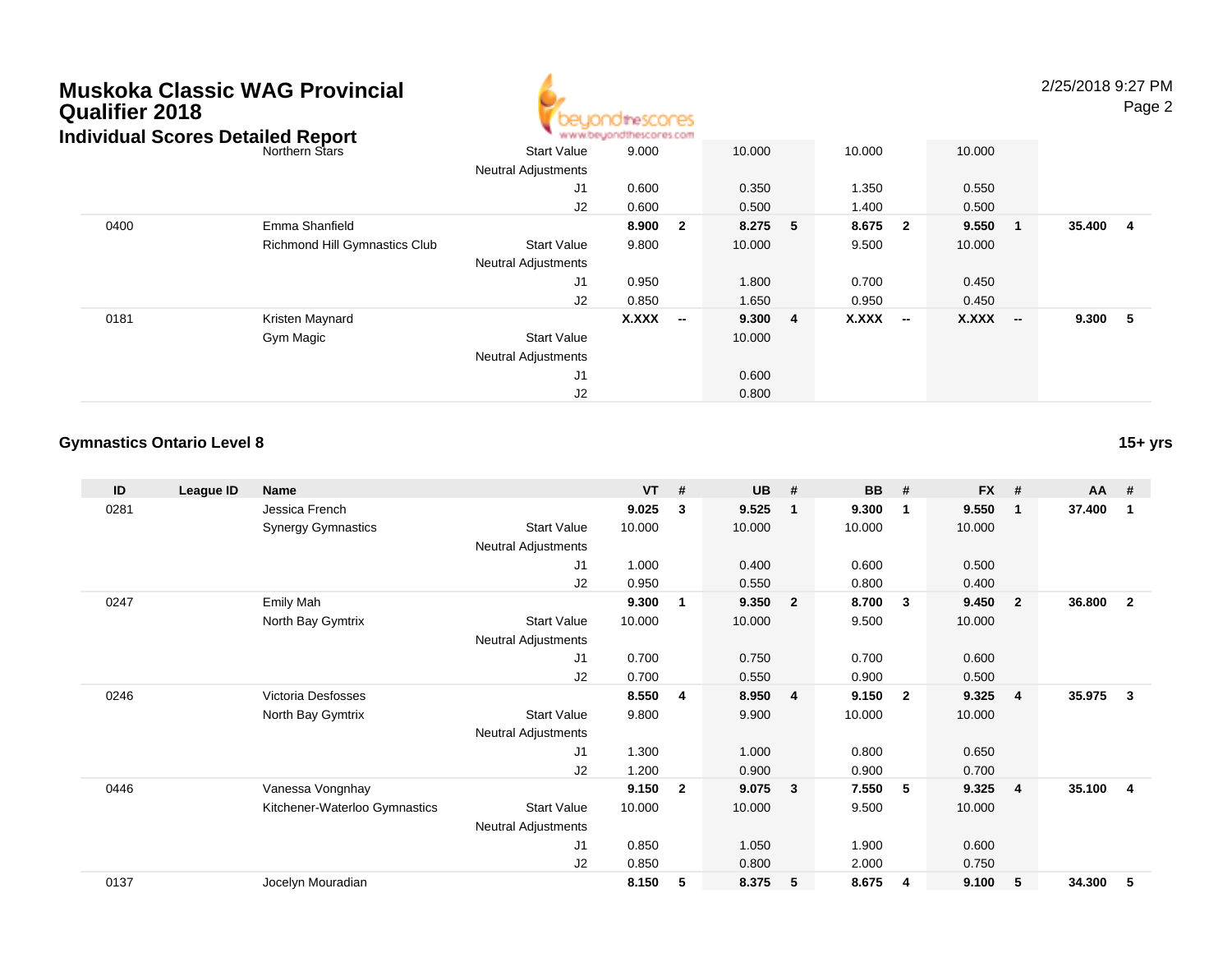# **Muskoka Classic WAG ProvincialQualifier 2018**



2/25/2018 9:27 PMPage 2

|      | Individual Scores Detailed Report | www.beyondthescores.com    |              |                          |        |                |              |                          |              |                          |         |                |
|------|-----------------------------------|----------------------------|--------------|--------------------------|--------|----------------|--------------|--------------------------|--------------|--------------------------|---------|----------------|
|      | Northern Stars                    | <b>Start Value</b>         | 9.000        |                          | 10.000 |                | 10.000       |                          | 10.000       |                          |         |                |
|      |                                   | <b>Neutral Adjustments</b> |              |                          |        |                |              |                          |              |                          |         |                |
|      |                                   | J1                         | 0.600        |                          | 0.350  |                | 1.350        |                          | 0.550        |                          |         |                |
|      |                                   | J2                         | 0.600        |                          | 0.500  |                | 1.400        |                          | 0.500        |                          |         |                |
| 0400 | Emma Shanfield                    |                            | 8.900        | $\overline{\mathbf{2}}$  | 8.275  | 5              | 8.675 2      |                          | 9.550        |                          | 35.400  | $\overline{4}$ |
|      | Richmond Hill Gymnastics Club     | <b>Start Value</b>         | 9.800        |                          | 10.000 |                | 9.500        |                          | 10.000       |                          |         |                |
|      |                                   | <b>Neutral Adjustments</b> |              |                          |        |                |              |                          |              |                          |         |                |
|      |                                   | J1                         | 0.950        |                          | 1.800  |                | 0.700        |                          | 0.450        |                          |         |                |
|      |                                   | J2                         | 0.850        |                          | 1.650  |                | 0.950        |                          | 0.450        |                          |         |                |
| 0181 | Kristen Maynard                   |                            | <b>X.XXX</b> | $\overline{\phantom{a}}$ | 9.300  | $\overline{4}$ | <b>X.XXX</b> | $\overline{\phantom{a}}$ | <b>X.XXX</b> | $\overline{\phantom{a}}$ | 9.300 5 |                |
|      | Gym Magic                         | <b>Start Value</b>         |              |                          | 10.000 |                |              |                          |              |                          |         |                |
|      |                                   | <b>Neutral Adjustments</b> |              |                          |        |                |              |                          |              |                          |         |                |
|      |                                   | J1                         |              |                          | 0.600  |                |              |                          |              |                          |         |                |
|      |                                   | J2                         |              |                          | 0.800  |                |              |                          |              |                          |         |                |

#### **Gymnastics Ontario Level 8**

**ID League ID Name VT # UB # BB # FX # AA #** 0281 Jessica French **9.025 <sup>3</sup> 9.525 <sup>1</sup> 9.300 <sup>1</sup> 9.550 <sup>1</sup> 37.400 <sup>1</sup>** Synergy Gymnastics Start Valuee 10.000 10.000 10.000 10.000 Neutral Adjustments J1 1.000 0.400 0.600 0.500 J2 0.950 0.550 0.800 0.400 0247 Emily Mah **9.300 <sup>1</sup> 9.350 <sup>2</sup> 8.700 <sup>3</sup> 9.450 <sup>2</sup> 36.800 <sup>2</sup>** North Bay Gymtrix Start Valuee 10.000 10.000 9.500 10.000 Neutral Adjustments J1 0.700 0.750 0.700 0.600 J2 0.700 0.550 0.900 0.500 0246 Victoria Desfosses **8.550 <sup>4</sup> 8.950 <sup>4</sup> 9.150 <sup>2</sup> 9.325 <sup>4</sup> 35.975 <sup>3</sup>** North Bay Gymtrix Start Valuee 9.800 9.900 10.000 10.000 Neutral Adjustments J1 1.300 1.000 0.800 0.650 J2 1.200 0.900 0.900 0.700 0446 Vanessa Vongnhay **9.150 <sup>2</sup> 9.075 <sup>3</sup> 7.550 <sup>5</sup> 9.325 <sup>4</sup> 35.100 <sup>4</sup>** Kitchener-Waterloo Gymnastics Start Valuee 10.000 10.000 9.500 10.000 Neutral Adjustments J1 0.850 1.050 1.900 0.600 J2 0.850 0.800 2.000 0.750 0137Jocelyn Mouradian **8.150 <sup>5</sup> 8.375 <sup>5</sup> 8.675 <sup>4</sup> 9.100 <sup>5</sup> 34.300 <sup>5</sup>**

**15+ yrs**